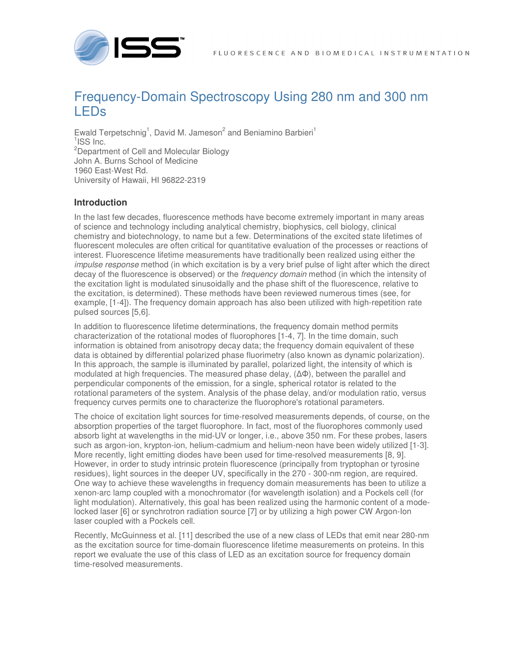

# Frequency-Domain Spectroscopy Using 280 nm and 300 nm LEDs

Ewald Terpetschnig<sup>1</sup>, David M. Jameson<sup>2</sup> and Beniamino Barbieri<sup>1</sup> <sup>1</sup>ISS Inc. <sup>2</sup>Department of Cell and Molecular Biology John A. Burns School of Medicine 1960 East-West Rd. University of Hawaii, HI 96822-2319

# **Introduction**

In the last few decades, fluorescence methods have become extremely important in many areas of science and technology including analytical chemistry, biophysics, cell biology, clinical chemistry and biotechnology, to name but a few. Determinations of the excited state lifetimes of fluorescent molecules are often critical for quantitative evaluation of the processes or reactions of interest. Fluorescence lifetime measurements have traditionally been realized using either the impulse response method (in which excitation is by a very brief pulse of light after which the direct decay of the fluorescence is observed) or the *frequency domain* method (in which the intensity of the excitation light is modulated sinusoidally and the phase shift of the fluorescence, relative to the excitation, is determined). These methods have been reviewed numerous times (see, for example, [1-4]). The frequency domain approach has also been utilized with high-repetition rate pulsed sources [5,6].

In addition to fluorescence lifetime determinations, the frequency domain method permits characterization of the rotational modes of fluorophores [1-4, 7]. In the time domain, such information is obtained from anisotropy decay data; the frequency domain equivalent of these data is obtained by differential polarized phase fluorimetry (also known as dynamic polarization). In this approach, the sample is illuminated by parallel, polarized light, the intensity of which is modulated at high frequencies. The measured phase delay, (∆Φ), between the parallel and perpendicular components of the emission, for a single, spherical rotator is related to the rotational parameters of the system. Analysis of the phase delay, and/or modulation ratio, versus frequency curves permits one to characterize the fluorophore's rotational parameters.

The choice of excitation light sources for time-resolved measurements depends, of course, on the absorption properties of the target fluorophore. In fact, most of the fluorophores commonly used absorb light at wavelengths in the mid-UV or longer, i.e., above 350 nm. For these probes, lasers such as argon-ion, krypton-ion, helium-cadmium and helium-neon have been widely utilized [1-3]. More recently, light emitting diodes have been used for time-resolved measurements [8, 9]. However, in order to study intrinsic protein fluorescence (principally from tryptophan or tyrosine residues), light sources in the deeper UV, specifically in the 270 - 300-nm region, are required. One way to achieve these wavelengths in frequency domain measurements has been to utilize a xenon-arc lamp coupled with a monochromator (for wavelength isolation) and a Pockels cell (for light modulation). Alternatively, this goal has been realized using the harmonic content of a modelocked laser [6] or synchrotron radiation source [7] or by utilizing a high power CW Argon-Ion laser coupled with a Pockels cell.

Recently, McGuinness et al. [11] described the use of a new class of LEDs that emit near 280-nm as the excitation source for time-domain fluorescence lifetime measurements on proteins. In this report we evaluate the use of this class of LED as an excitation source for frequency domain time-resolved measurements.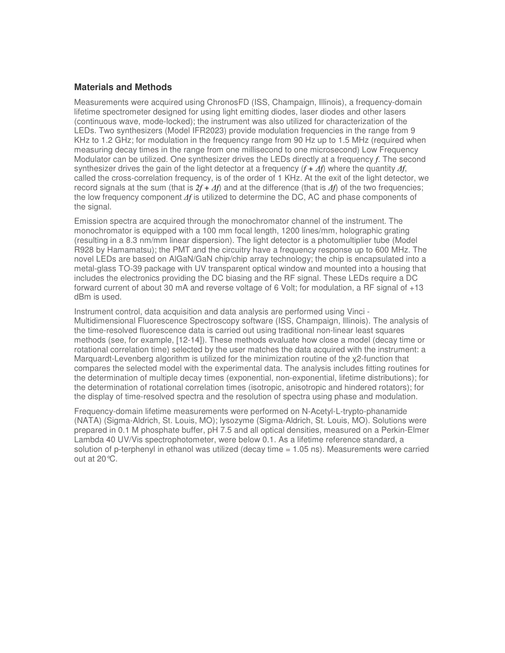# **Materials and Methods**

Measurements were acquired using ChronosFD (ISS, Champaign, Illinois), a frequency-domain lifetime spectrometer designed for using light emitting diodes, laser diodes and other lasers (continuous wave, mode-locked); the instrument was also utilized for characterization of the LEDs. Two synthesizers (Model IFR2023) provide modulation frequencies in the range from 9 KHz to 1.2 GHz; for modulation in the frequency range from 90 Hz up to 1.5 MHz (required when measuring decay times in the range from one millisecond to one microsecond) Low Frequency Modulator can be utilized. One synthesizer drives the LEDs directly at a frequency *f*. The second synthesizer drives the gain of the light detector at a frequency  $(f + \Delta f)$  where the quantity  $\Delta f$ , called the cross-correlation frequency, is of the order of 1 KHz. At the exit of the light detector, we record signals at the sum (that is *2f +* ∆*f*) and at the difference (that is ∆*f*) of the two frequencies; the low frequency component ∆*f* is utilized to determine the DC, AC and phase components of the signal.

Emission spectra are acquired through the monochromator channel of the instrument. The monochromator is equipped with a 100 mm focal length, 1200 lines/mm, holographic grating (resulting in a 8.3 nm/mm linear dispersion). The light detector is a photomultiplier tube (Model R928 by Hamamatsu); the PMT and the circuitry have a frequency response up to 600 MHz. The novel LEDs are based on AlGaN/GaN chip/chip array technology; the chip is encapsulated into a metal-glass TO-39 package with UV transparent optical window and mounted into a housing that includes the electronics providing the DC biasing and the RF signal. These LEDs require a DC forward current of about 30 mA and reverse voltage of 6 Volt; for modulation, a RF signal of +13 dBm is used.

Instrument control, data acquisition and data analysis are performed using Vinci - Multidimensional Fluorescence Spectroscopy software (ISS, Champaign, Illinois). The analysis of the time-resolved fluorescence data is carried out using traditional non-linear least squares methods (see, for example, [12-14]). These methods evaluate how close a model (decay time or rotational correlation time) selected by the user matches the data acquired with the instrument: a Marquardt-Levenberg algorithm is utilized for the minimization routine of the χ2-function that compares the selected model with the experimental data. The analysis includes fitting routines for the determination of multiple decay times (exponential, non-exponential, lifetime distributions); for the determination of rotational correlation times (isotropic, anisotropic and hindered rotators); for the display of time-resolved spectra and the resolution of spectra using phase and modulation.

Frequency-domain lifetime measurements were performed on N-Acetyl-L-trypto-phanamide (NATA) (Sigma-Aldrich, St. Louis, MO); lysozyme (Sigma-Aldrich, St. Louis, MO). Solutions were prepared in 0.1 M phosphate buffer, pH 7.5 and all optical densities, measured on a Perkin-Elmer Lambda 40 UV/Vis spectrophotometer, were below 0.1. As a lifetime reference standard, a solution of p-terphenyl in ethanol was utilized (decay time = 1.05 ns). Measurements were carried out at 20°C.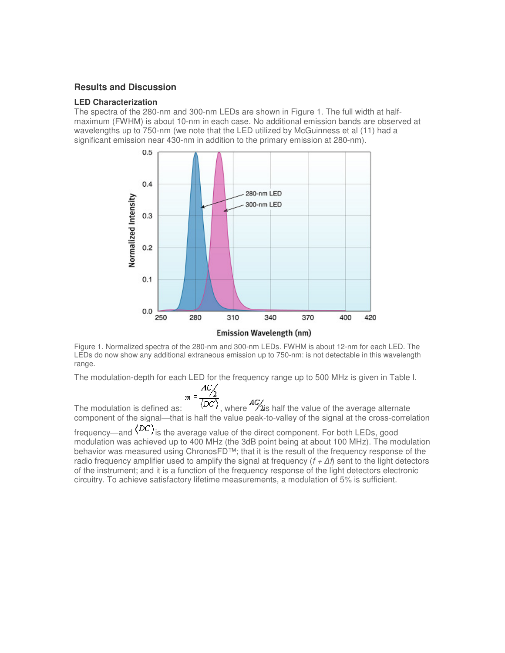## **Results and Discussion**

#### **LED Characterization**

The spectra of the 280-nm and 300-nm LEDs are shown in Figure 1. The full width at halfmaximum (FWHM) is about 10-nm in each case. No additional emission bands are observed at wavelengths up to 750-nm (we note that the LED utilized by McGuinness et al (11) had a significant emission near 430-nm in addition to the primary emission at 280-nm).



Figure 1. Normalized spectra of the 280-nm and 300-nm LEDs. FWHM is about 12-nm for each LED. The LEDs do now show any additional extraneous emission up to 750-nm: is not detectable in this wavelength range.

The modulation-depth for each LED for the frequency range up to 500 MHz is given in Table I.

$$
m = \frac{AC/2}{\langle DC \rangle}
$$

The modulation is defined as:  $\langle DC \rangle$ , where  $\frac{AG}{2}$  is half the value of the average alternate component of the signal—that is half the value peak-to-valley of the signal at the cross-correlation

frequency—and  $\langle DC \rangle$  is the average value of the direct component. For both LEDs, good modulation was achieved up to 400 MHz (the 3dB point being at about 100 MHz). The modulation behavior was measured using ChronosFD™; that it is the result of the frequency response of the radio frequency amplifier used to amplify the signal at frequency  $(f + \Delta f)$  sent to the light detectors of the instrument; and it is a function of the frequency response of the light detectors electronic circuitry. To achieve satisfactory lifetime measurements, a modulation of 5% is sufficient.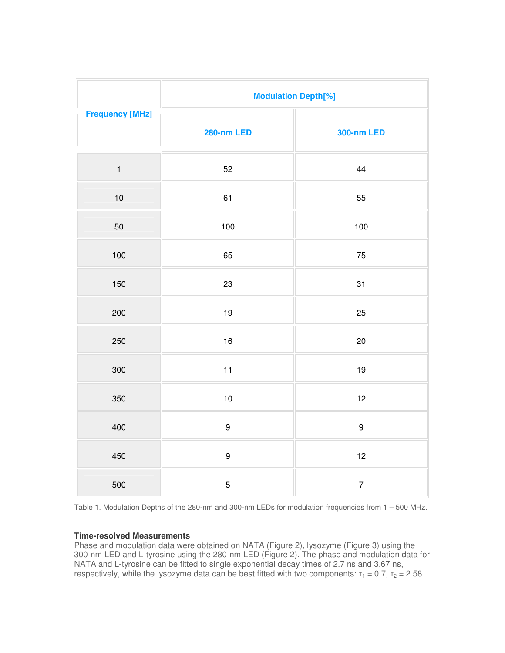| <b>Frequency [MHz]</b> | <b>Modulation Depth[%]</b> |                          |
|------------------------|----------------------------|--------------------------|
|                        | <b>280-nm LED</b>          | <b>300-nm LED</b>        |
| $\mathbf{1}$           | 52                         | 44                       |
| $10$                   | 61                         | 55                       |
| 50                     | 100                        | 100                      |
| 100                    | 65                         | 75                       |
| 150                    | 23                         | 31                       |
| 200                    | 19                         | 25                       |
| 250                    | 16                         | 20                       |
| 300                    | 11                         | $19$                     |
| 350                    | $10$                       | 12                       |
| 400                    | $\boldsymbol{9}$           | $\boldsymbol{9}$         |
| 450                    | $\boldsymbol{9}$           | 12                       |
| 500                    | $\mathbf 5$                | $\overline{\mathcal{I}}$ |

Table 1. Modulation Depths of the 280-nm and 300-nm LEDs for modulation frequencies from 1 – 500 MHz.

#### **Time-resolved Measurements**

Phase and modulation data were obtained on NATA (Figure 2), lysozyme (Figure 3) using the 300-nm LED and L-tyrosine using the 280-nm LED (Figure 2). The phase and modulation data for NATA and L-tyrosine can be fitted to single exponential decay times of 2.7 ns and 3.67 ns, respectively, while the lysozyme data can be best fitted with two components:  $\tau_1 = 0.7$ ,  $\tau_2 = 2.58$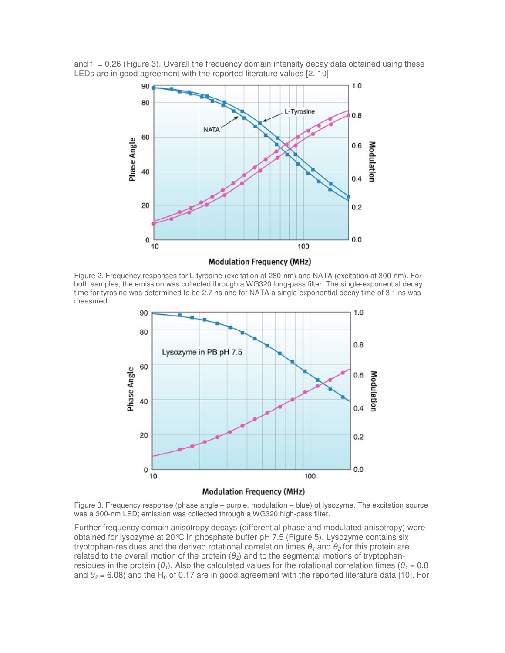

and  $f_1 = 0.26$  (Figure 3). Overall the frequency domain intensity decay data obtained using these LEDs are in good agreement with the reported literature values [2, 10].

**Modulation Frequency (MHz)** 

Figure 2. Frequency responses for L-tyrosine (excitation at 280-nm) and NATA (excitation at 300-nm). For both samples, the emission was collected through a WG320 long-pass filter. The single-exponential decay time for tyrosine was determined to be 2.7 ns and for NATA a single-exponential decay time of 3.1 ns was measured.



**Modulation Frequency (MHz)** 

Figure 3. Frequency response (phase angle – purple, modulation – blue) of lysozyme. The excitation source was a 300-nm LED; emission was collected through a WG320 high-pass filter.

Further frequency domain anisotropy decays (differential phase and modulated anisotropy) were obtained for lysozyme at 20°C in phosphate buffer pH 7.5 (Figure 5). Lysozyme contains six tryptophan-residues and the derived rotational correlation times  $\theta_1$  and  $\theta_2$  for this protein are related to the overall motion of the protein  $(\theta_2)$  and to the segmental motions of tryptophanresidues in the protein ( $\theta_1$ ). Also the calculated values for the rotational correlation times ( $\theta_1 = 0.8$ ) and  $\theta_2$  = 6.08) and the R<sub>0</sub> of 0.17 are in good agreement with the reported literature data [10]. For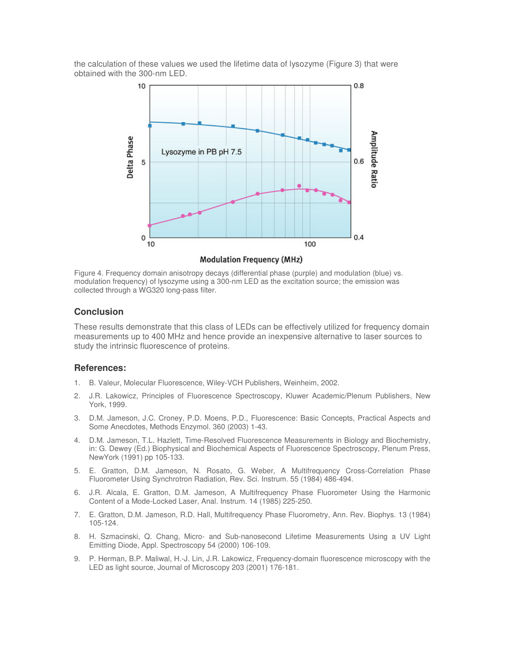the calculation of these values we used the lifetime data of lysozyme (Figure 3) that were obtained with the 300-nm LED.



**Modulation Frequency (MHz)** 

Figure 4. Frequency domain anisotropy decays (differential phase (purple) and modulation (blue) vs. modulation frequency) of lysozyme using a 300-nm LED as the excitation source; the emission was collected through a WG320 long-pass filter.

## **Conclusion**

These results demonstrate that this class of LEDs can be effectively utilized for frequency domain measurements up to 400 MHz and hence provide an inexpensive alternative to laser sources to study the intrinsic fluorescence of proteins.

#### **References:**

- 1. B. Valeur, Molecular Fluorescence, Wiley-VCH Publishers, Weinheim, 2002.
- 2. J.R. Lakowicz, Principles of Fluorescence Spectroscopy, Kluwer Academic/Plenum Publishers, New York, 1999.
- 3. D.M. Jameson, J.C. Croney, P.D. Moens, P.D., Fluorescence: Basic Concepts, Practical Aspects and Some Anecdotes, Methods Enzymol. 360 (2003) 1-43.
- 4. D.M. Jameson, T.L. Hazlett, Time-Resolved Fluorescence Measurements in Biology and Biochemistry, in: G. Dewey (Ed.) Biophysical and Biochemical Aspects of Fluorescence Spectroscopy, Plenum Press, NewYork (1991) pp 105-133.
- 5. E. Gratton, D.M. Jameson, N. Rosato, G. Weber, A Multifrequency Cross-Correlation Phase Fluorometer Using Synchrotron Radiation, Rev. Sci. Instrum. 55 (1984) 486-494.
- 6. J.R. Alcala, E. Gratton, D.M. Jameson, A Multifrequency Phase Fluorometer Using the Harmonic Content of a Mode-Locked Laser, Anal. Instrum. 14 (1985) 225-250.
- 7. E. Gratton, D.M. Jameson, R.D. Hall, Multifrequency Phase Fluorometry, Ann. Rev. Biophys. 13 (1984) 105-124.
- 8. H. Szmacinski, Q. Chang, Micro- and Sub-nanosecond Lifetime Measurements Using a UV Light Emitting Diode, Appl. Spectroscopy 54 (2000) 106-109.
- 9. P. Herman, B.P. Maliwal, H.-J. Lin, J.R. Lakowicz, Frequency-domain fluorescence microscopy with the LED as light source, Journal of Microscopy 203 (2001) 176-181.